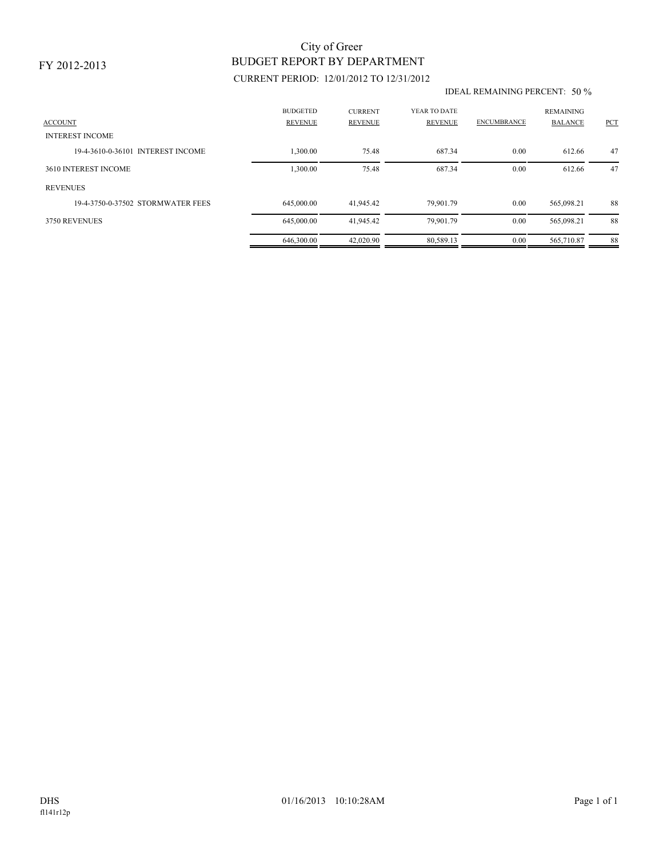### FY 2012-2013

# BUDGET REPORT BY DEPARTMENT City of Greer

## CURRENT PERIOD: 12/01/2012 TO 12/31/2012

#### IDEAL REMAINING PERCENT: 50 %

| <b>ACCOUNT</b><br><b>INTEREST INCOME</b> | <b>BUDGETED</b><br><b>REVENUE</b> | <b>CURRENT</b><br><b>REVENUE</b> | YEAR TO DATE<br><b>REVENUE</b> | <b>ENCUMBRANCE</b> | <b>REMAINING</b><br><b>BALANCE</b> | PCT |
|------------------------------------------|-----------------------------------|----------------------------------|--------------------------------|--------------------|------------------------------------|-----|
| 19-4-3610-0-36101 INTEREST INCOME        | 1,300.00                          | 75.48                            | 687.34                         | 0.00               | 612.66                             | 47  |
| 3610 INTEREST INCOME                     | 1,300.00                          | 75.48                            | 687.34                         | 0.00               | 612.66                             | 47  |
| <b>REVENUES</b>                          |                                   |                                  |                                |                    |                                    |     |
| 19-4-3750-0-37502 STORMWATER FEES        | 645,000.00                        | 41,945.42                        | 79.901.79                      | 0.00               | 565.098.21                         | 88  |
| 3750 REVENUES                            | 645,000.00                        | 41,945.42                        | 79,901.79                      | 0.00               | 565,098.21                         | 88  |
|                                          | 646,300.00                        | 42,020.90                        | 80.589.13                      | 0.00               | 565,710.87                         | 88  |